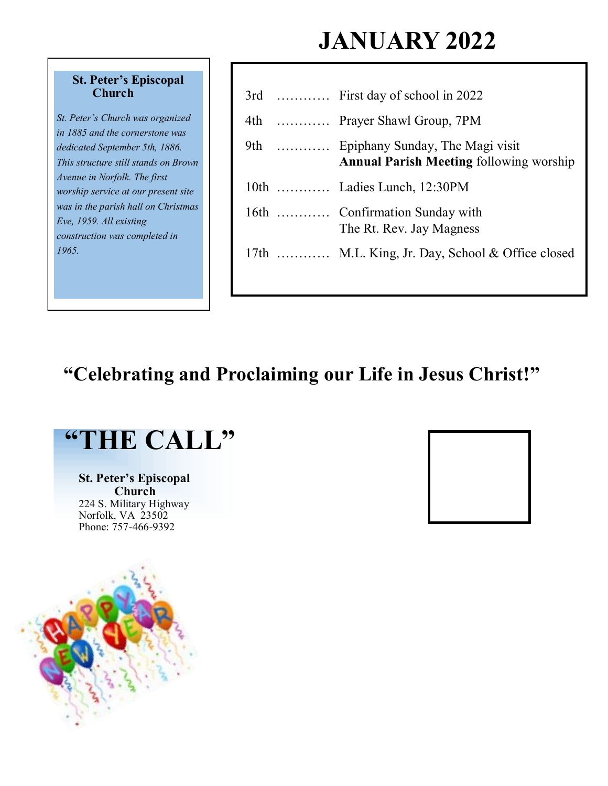# **JANUARY 2022**

#### **St. Peter's Episcopal Church**

*St. Peter's Church was organized in 1885 and the cornerstone was dedicated September 5th, 1886. This structure still stands on Brown Avenue in Norfolk. The first worship service at our present site was in the parish hall on Christmas Eve, 1959. All existing construction was completed in 1965.*

|  | 3rd  First day of school in 2022                                                       |
|--|----------------------------------------------------------------------------------------|
|  | 4th  Prayer Shawl Group, 7PM                                                           |
|  | 9th  Epiphany Sunday, The Magi visit<br><b>Annual Parish Meeting following worship</b> |
|  | 10th  Ladies Lunch, 12:30PM                                                            |
|  | 16th  Confirmation Sunday with<br>The Rt. Rev. Jay Magness                             |
|  | 17th  M.L. King, Jr. Day, School & Office closed                                       |
|  |                                                                                        |

# **"Celebrating and Proclaiming our Life in Jesus Christ!"**

# **"THE CALL"**

**St. Peter's Episcopal Church** 224 S. Military Highway Norfolk, VA 23502 Phone: 757-466-9392



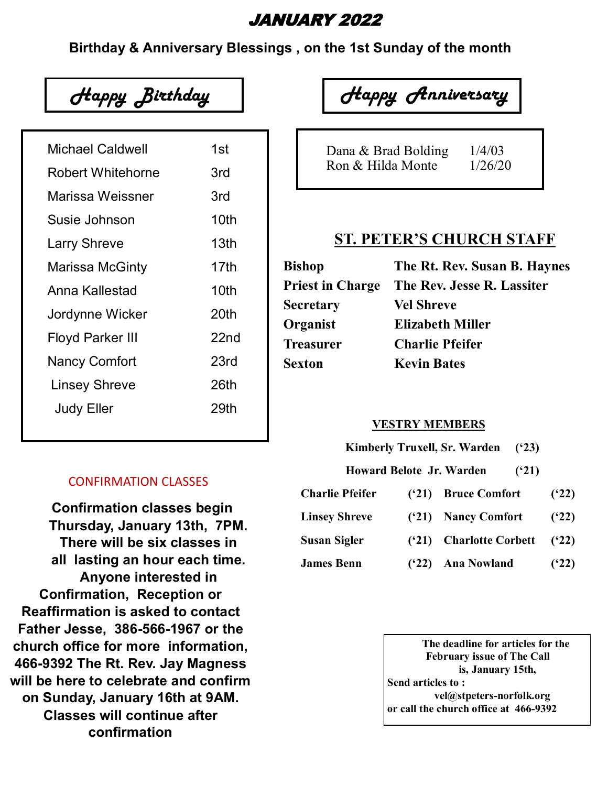## JANUARY 2022

**Birthday & Anniversary Blessings , on the 1st Sunday of the month**

 *Happy Birthday*

| Michael Caldwell         | 1st  |
|--------------------------|------|
| <b>Robert Whitehorne</b> | 3rd  |
| Marissa Weissner         | 3rd  |
| Susie Johnson            | 10th |
| <b>Larry Shreve</b>      | 13th |
| Marissa McGinty          | 17th |
| Anna Kallestad           | 10th |
| Jordynne Wicker          | 20th |
| <b>Floyd Parker III</b>  | 22nd |
| <b>Nancy Comfort</b>     | 23rd |
| <b>Linsey Shreve</b>     | 26th |
| <b>Judy Eller</b>        | 29th |
|                          |      |

#### CONFIRMATION CLASSES

 **Confirmation classes begin Thursday, January 13th, 7PM. There will be six classes in all lasting an hour each time. Anyone interested in Confirmation, Reception or Reaffirmation is asked to contact Father Jesse, 386-566-1967 or the church office for more information, 466-9392 The Rt. Rev. Jay Magness will be here to celebrate and confirm on Sunday, January 16th at 9AM. Classes will continue after confirmation**

 *Happy Anniversary*

Dana & Brad Bolding 1/4/03 Ron  $&$  Hilda Monte  $1/26/20$ 

#### **ST. PETER'S CHURCH STAFF**

| <b>Bishop</b>           | The Rt. Rev. Susan B. Haynes |
|-------------------------|------------------------------|
| <b>Priest in Charge</b> | The Rev. Jesse R. Lassiter   |
| <b>Secretary</b>        | <b>Vel Shreve</b>            |
| Organist                | <b>Elizabeth Miller</b>      |
| <b>Treasurer</b>        | <b>Charlie Pfeifer</b>       |
| <b>Sexton</b>           | <b>Kevin Bates</b>           |
|                         |                              |

#### **VESTRY MEMBERS**

|  | Kimberly Truxell, Sr. Warden ('23) |  |  |
|--|------------------------------------|--|--|
|--|------------------------------------|--|--|

 **Howard Belote Jr. Warden ('21)** 

| <b>Charlie Pfeifer</b> | ('21) Bruce Comfort             | (22)       |
|------------------------|---------------------------------|------------|
| <b>Linsey Shreve</b>   | ('21) Nancy Comfort             | $(^{6}22)$ |
| <b>Susan Sigler</b>    | $(21)$ Charlotte Corbett $(22)$ |            |
| <b>James Benn</b>      | (22) Ana Nowland                | $(^{6}22)$ |

 **The deadline for articles for the February issue of The Call is, January 15th, Send articles to : vel@stpeters-norfolk.org or call the church office at 466-9392**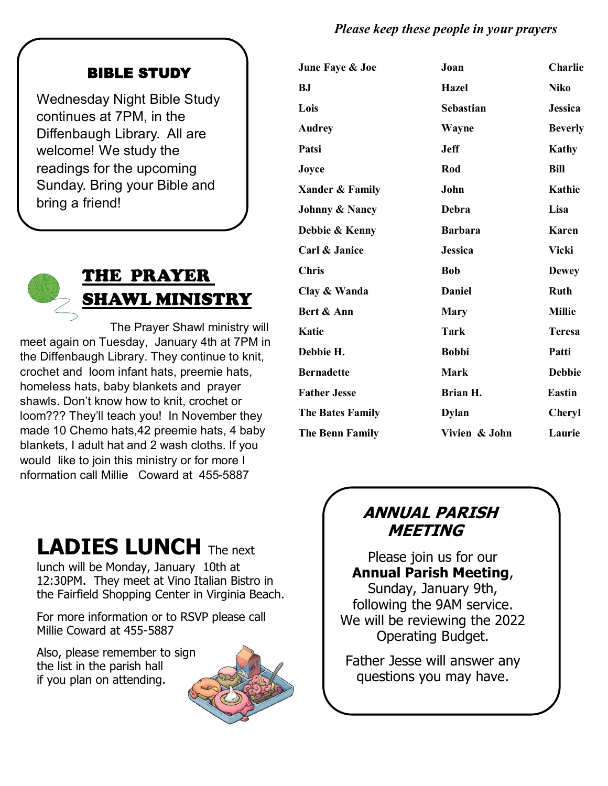#### *Please keep these people in your prayers*

#### BIBLE STUDY

Wednesday Night Bible Study continues at 7PM, in the Diffenbaugh Library. All are welcome! We study the readings for the upcoming Sunday. Bring your Bible and bring a friend!



# THE PRAYER SHAWL MINISTRY

 The Prayer Shawl ministry will meet again on Tuesday, January 4th at 7PM in the Diffenbaugh Library. They continue to knit, crochet and loom infant hats, preemie hats, homeless hats, baby blankets and prayer shawls. Don't know how to knit, crochet or loom??? They'll teach you! In November they made 10 Chemo hats,42 preemie hats, 4 baby blankets, I adult hat and 2 wash cloths. If you would like to join this ministry or for more I nformation call Millie Coward at 455-5887

## **June Faye & Joe Joan Charlie BJ Hazel Niko Lois Sebastian Jessica Audrey Wayne Beverly Patsi Jeff Kathy Joyce Rod Bill Xander & Family John Kathie Johnny & Nancy Debra Lisa Debbie & Kenny Barbara Karen Carl & Janice Jessica Vicki Chris Bob Dewey Clay & Wanda Daniel Ruth Bert & Ann Mary Mary Millie Katie Tark Teresa Debbie H. Bobbi Patti Bernadette Mark Debbie Father Jesse Brian H. Eastin The Bates Family Dylan Cheryl The Benn Family Vivien & John Laurie**

# **LADIES LUNCH** The next

lunch will be Monday, January 10th at 12:30PM. They meet at Vino Italian Bistro in the Fairfield Shopping Center in Virginia Beach.

For more information or to RSVP please call Millie Coward at 455-5887

Also, please remember to sign the list in the parish hall if you plan on attending.



# **ANNUAL PARISH MEETING**

Please join us for our **Annual Parish Meeting**, Sunday, January 9th, following the 9AM service. We will be reviewing the 2022 Operating Budget.

Father Jesse will answer any questions you may have.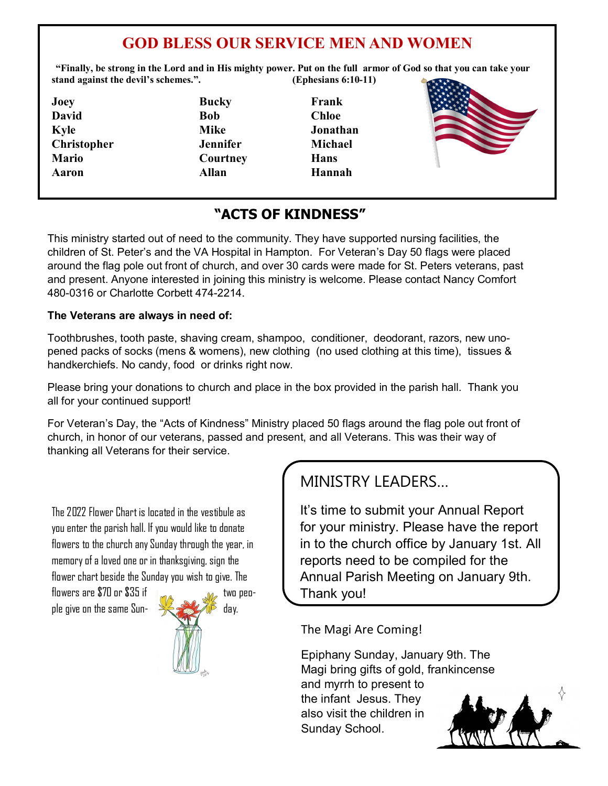## **GOD BLESS OUR SERVICE MEN AND WOMEN**

**"Finally, be strong in the Lord and in His mighty power. Put on the full armor of God so that you can take your stand against the devil's schemes.". (Ephesians 6:10-11)** 

**Joey Bucky Frank**  David Bob Chloe **Kyle Mike Jonathan Christopher Jennifer Michael Mario Courtney Hans Aaron Allan Hannah** 



## **"ACTS OF KINDNESS"**

This ministry started out of need to the community. They have supported nursing facilities, the children of St. Peter's and the VA Hospital in Hampton. For Veteran's Day 50 flags were placed around the flag pole out front of church, and over 30 cards were made for St. Peters veterans, past and present. Anyone interested in joining this ministry is welcome. Please contact Nancy Comfort 480-0316 or Charlotte Corbett 474-2214.

#### **The Veterans are always in need of:**

Toothbrushes, tooth paste, shaving cream, shampoo, conditioner, deodorant, razors, new unopened packs of socks (mens & womens), new clothing (no used clothing at this time), tissues & handkerchiefs. No candy, food or drinks right now.

Please bring your donations to church and place in the box provided in the parish hall. Thank you all for your continued support!

For Veteran's Day, the "Acts of Kindness" Ministry placed 50 flags around the flag pole out front of church, in honor of our veterans, passed and present, and all Veterans. This was their way of thanking all Veterans for their service.

The 2022 Flower Chart is located in the vestibule as you enter the parish hall. If you would like to donate flowers to the church any Sunday through the year, in memory of a loved one or in thanksgiving, sign the flower chart beside the Sunday you wish to give. The

flowers are  $$70$  or  $$35$  if  $\overline{a}$   $\overline{a}$  two people give on the same Sun-  $\Rightarrow$   $\Rightarrow$   $\Rightarrow$   $\Rightarrow$  day.



# MINISTRY LEADERS…

It's time to submit your Annual Report for your ministry. Please have the report in to the church office by January 1st. All reports need to be compiled for the Annual Parish Meeting on January 9th. Thank you!

The Magi Are Coming!

Epiphany Sunday, January 9th. The Magi bring gifts of gold, frankincense

and myrrh to present to the infant Jesus. They also visit the children in Sunday School.

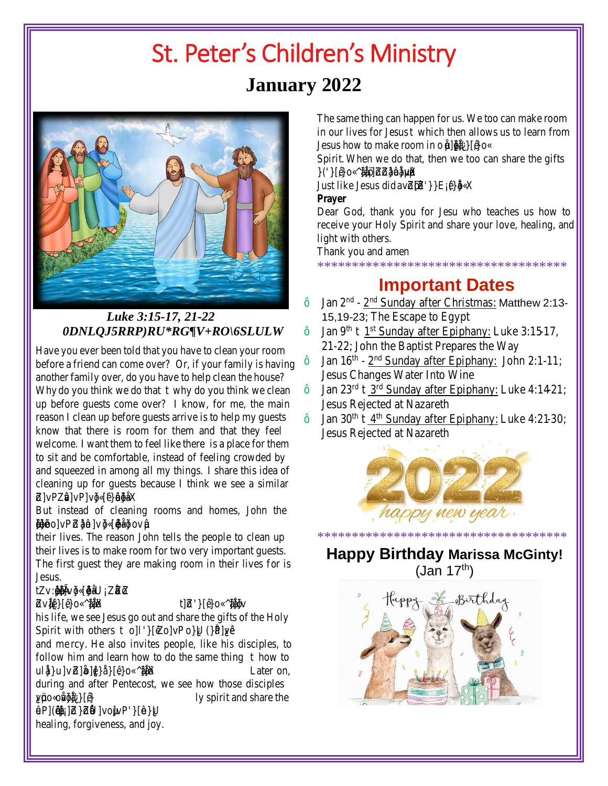# St. Peter's Children's Ministry **January 2022**



*Luke 3:15-17, 21-22*

Have you ever been told that you have to clean your room before a friend can come over $\sigma$ r, if your family is having another family over, do you have to help clean the house? Why do you think we do that why do you think we clean up before guests come over? know, for me, the main reason I clean up before guests arrive is to help my guests Jan  $30^{\text{th}}$   $\frac{4^{\text{th}}$ Sunday after EpiphanyLuke 4:2130; know that there is room for them and that they feel welcome. I want them to feel like theise a place for them to sit and be comfortable, instead of feeling crowded by and squeezed in among all my things. Share this idea of cleaning up for guests because I think we see a similar

But instead of cleaningrooms and homes, John the

their lives.The reason John tells the people to clean up their lives is to make room for two very important guests. The first quest they are making room in their livers if Jesus.

his life, we see Jesus go out and share the gifts of the Holy Spirit with others and mercy. He also invites people, like his disciples, to follow him and learn how to do the same thindow to Later on, during and after Pentecost, we see how those disciples ly spirit and share the

The same thing can happen for us. We too can make rolln in our lives for Jesus which then allows us to learn from Jesus how to make room in o

Spirit. When we do that, then we too can share the  $q$ 

Just like Jesus did *Prayer Dear God, thank you for Jesu who teaches us how receive your Holy Spirit and share your love, healing, alla light with others. Thank you and amen*

## **Important Dates**

\*\*\*\*\*\*\*\*\*\*\*\*\*\*\*\*\*\*\*\*\*\*\*\*\*\*\*\*\*\*\*\*\*\*\*\*

Jan 2<sup>nd</sup> - <u>2<sup>nd</sup> Sunday after Christma</u>sMatthew 2:13-15,19-23; *The Escape to Egypt* Jan 9<sup>th</sup> 1st Sunday after EpiphanyLuke 3:1517, 21-22; *John the Baptist Prepares the Way* Jan 16<sup>th</sup> - <u>2<sup>nd</sup> Sunday after Epiphany</u> John 2:1-11; *Jesus Changes Water Into Wine* Jan 23<sup>rd</sup> <u>3<sup>rd</sup> Sunday after Epiphany</u>Luke 4:1421; *Jesus Rejected at Nazareth Jesus Rejected at Nazareth*



**Happy Birthday Marissa McGinty!**  $(Jan 17<sup>th</sup>)$ 

\*\*\*\*\*\*\*\*\*\*\*\*\*\*\*\*\*\*\*\*\*\*\*\*\*\*\*\*\*\*\*\*\*\*\*\*

healing, forgiveness, and joy.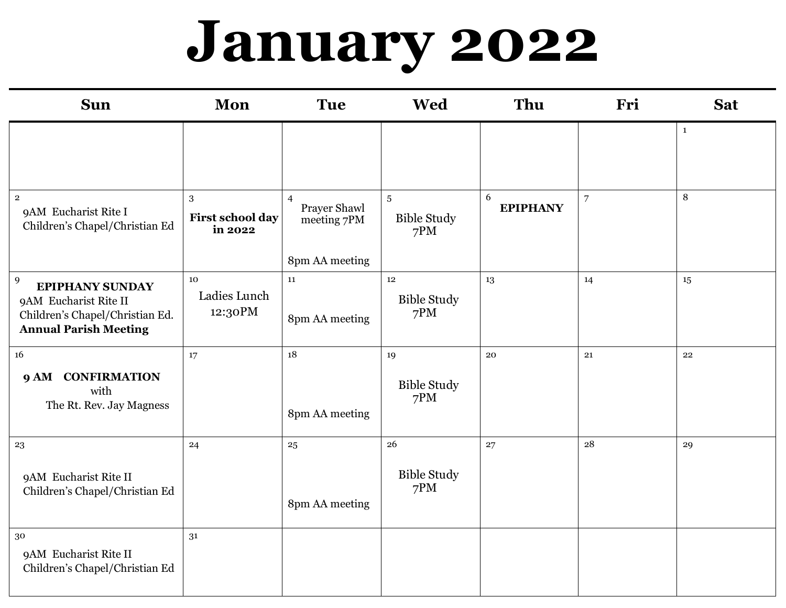# **January 2022**

| <b>Sun</b>                                                                                                                             | Mon                                     | <b>Tue</b>                                                      | <b>Wed</b>                                  | Thu                  | Fri            | <b>Sat</b>   |
|----------------------------------------------------------------------------------------------------------------------------------------|-----------------------------------------|-----------------------------------------------------------------|---------------------------------------------|----------------------|----------------|--------------|
|                                                                                                                                        |                                         |                                                                 |                                             |                      |                | $\mathbf{1}$ |
| $\overline{2}$<br>9AM Eucharist Rite I<br>Children's Chapel/Christian Ed                                                               | 3<br><b>First school day</b><br>in 2022 | $\overline{4}$<br>Prayer Shawl<br>meeting 7PM<br>8pm AA meeting | $\overline{5}$<br><b>Bible Study</b><br>7PM | 6<br><b>EPIPHANY</b> | $\overline{7}$ | $\,8\,$      |
| $\boldsymbol{9}$<br><b>EPIPHANY SUNDAY</b><br>9AM Eucharist Rite II<br>Children's Chapel/Christian Ed.<br><b>Annual Parish Meeting</b> | 10<br>Ladies Lunch<br>12:30PM           | 11<br>8pm AA meeting                                            | 12<br><b>Bible Study</b><br>7PM             | 13                   | 14             | 15           |
| $16\,$<br>9 AM CONFIRMATION<br>with<br>The Rt. Rev. Jay Magness                                                                        | 17                                      | 18<br>8pm AA meeting                                            | 19<br><b>Bible Study</b><br>7PM             | 20                   | 21             | 22           |
| 23<br>9AM Eucharist Rite II<br>Children's Chapel/Christian Ed                                                                          | 24                                      | 25<br>8pm AA meeting                                            | 26<br><b>Bible Study</b><br>7PM             | 27                   | 28             | 29           |
| 30<br>9AM Eucharist Rite II<br>Children's Chapel/Christian Ed                                                                          | 31                                      |                                                                 |                                             |                      |                |              |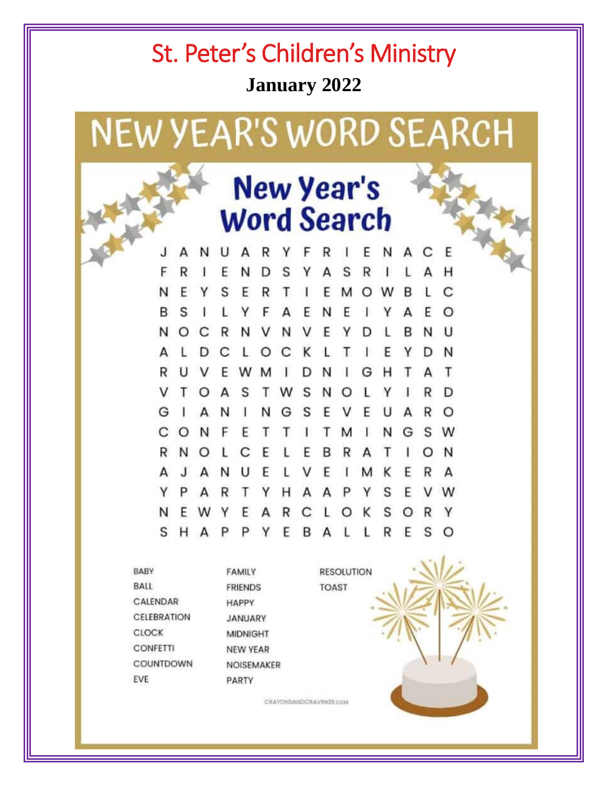# St. Peter's Children's Ministry **January 2022**

# **NEW YEAR'S WORD SEARCH**

# **New Year's Word Search**

R

F

N

Α C E

R

A

N

F R 1 Ε N D S S R А Н Υ А E E C N Ε S R т M  $\circ$ B w Υ I. B S ı Y F А Ε N Ε Y А Ε O N E  $\circ$ C R N v N Υ D B N U ι A C L Т Ε N Ł D C Ł  $\circ$ к 1 Y Ð R N G т D н Τ D S т S N R O O L N G S F  $\Omega$ G Δ 1 F R С  $\circ$ N Ε Т Τ S W Τ G R N O C E L E B N R O E Δ Δ U L F ĸ E Δ м Н p т S E W Υ N E Ε R ĸ S Α C 1  $\circ$ O S  $H$ A P F B A ı R F P Y L S

BABY BALL CALENDAR CELEBRATION CLOCK **CONFETTI** COUNTDOWN EVE

**FAMILY FRIENDS HAPPY** JANUARY **MIDNIGHT NEW YEAR** NOISEMAKER PARTY

**RESOLUTION TOAST** 

CRAYONSANDCRAVINGS.COM